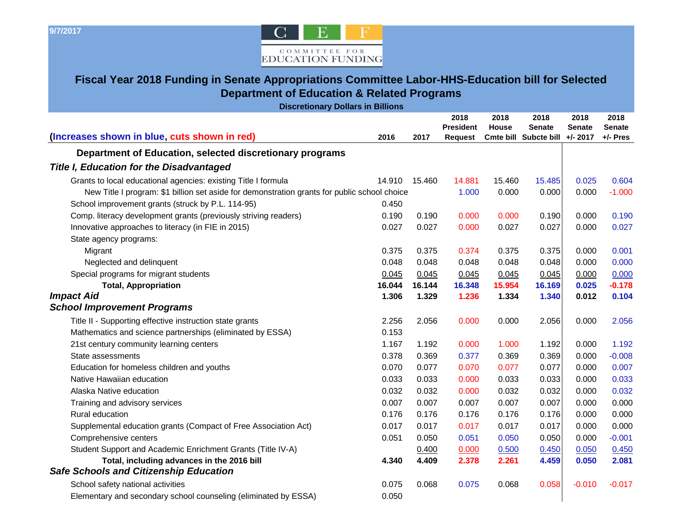**9/7/2017** 



## **Fiscal Year 2018 Funding in Senate Appropriations Committee Labor-HHS-Education bill for Selected Department of Education & Related Programs**

| <b>Discretionary Dollars in Billions</b>                                                     |        |        |                  |        |                       |               |               |  |
|----------------------------------------------------------------------------------------------|--------|--------|------------------|--------|-----------------------|---------------|---------------|--|
|                                                                                              |        |        | 2018             | 2018   | 2018                  | 2018          | 2018          |  |
|                                                                                              |        |        | <b>President</b> | House  | <b>Senate</b>         | <b>Senate</b> | <b>Senate</b> |  |
| (Increases shown in blue, cuts shown in red)                                                 | 2016   | 2017   | <b>Request</b>   |        | Cmte bill Subcte bill | $+/- 2017$    | +/- Pres      |  |
| Department of Education, selected discretionary programs                                     |        |        |                  |        |                       |               |               |  |
| <b>Title I, Education for the Disadvantaged</b>                                              |        |        |                  |        |                       |               |               |  |
| Grants to local educational agencies: existing Title I formula                               | 14.910 | 15.460 | 14.881           | 15.460 | 15.485                | 0.025         | 0.604         |  |
| New Title I program: \$1 billion set aside for demonstration grants for public school choice |        |        | 1.000            | 0.000  | 0.000                 | 0.000         | $-1.000$      |  |
| School improvement grants (struck by P.L. 114-95)                                            | 0.450  |        |                  |        |                       |               |               |  |
| Comp. literacy development grants (previously striving readers)                              | 0.190  | 0.190  | 0.000            | 0.000  | 0.190                 | 0.000         | 0.190         |  |
| Innovative approaches to literacy (in FIE in 2015)                                           | 0.027  | 0.027  | 0.000            | 0.027  | 0.027                 | 0.000         | 0.027         |  |
| State agency programs:                                                                       |        |        |                  |        |                       |               |               |  |
| Migrant                                                                                      | 0.375  | 0.375  | 0.374            | 0.375  | 0.375                 | 0.000         | 0.001         |  |
| Neglected and delinquent                                                                     | 0.048  | 0.048  | 0.048            | 0.048  | 0.048                 | 0.000         | 0.000         |  |
| Special programs for migrant students                                                        | 0.045  | 0.045  | 0.045            | 0.045  | 0.045                 | 0.000         | 0.000         |  |
| <b>Total, Appropriation</b>                                                                  | 16.044 | 16.144 | 16.348           | 15.954 | 16.169                | 0.025         | $-0.178$      |  |
| <b>Impact Aid</b>                                                                            | 1.306  | 1.329  | 1.236            | 1.334  | 1.340                 | 0.012         | 0.104         |  |
| <b>School Improvement Programs</b>                                                           |        |        |                  |        |                       |               |               |  |
| Title II - Supporting effective instruction state grants                                     | 2.256  | 2.056  | 0.000            | 0.000  | 2.056                 | 0.000         | 2.056         |  |
| Mathematics and science partnerships (eliminated by ESSA)                                    | 0.153  |        |                  |        |                       |               |               |  |
| 21st century community learning centers                                                      | 1.167  | 1.192  | 0.000            | 1.000  | 1.192                 | 0.000         | 1.192         |  |
| State assessments                                                                            | 0.378  | 0.369  | 0.377            | 0.369  | 0.369                 | 0.000         | $-0.008$      |  |
| Education for homeless children and youths                                                   | 0.070  | 0.077  | 0.070            | 0.077  | 0.077                 | 0.000         | 0.007         |  |
| Native Hawaiian education                                                                    | 0.033  | 0.033  | 0.000            | 0.033  | 0.033                 | 0.000         | 0.033         |  |
| Alaska Native education                                                                      | 0.032  | 0.032  | 0.000            | 0.032  | 0.032                 | 0.000         | 0.032         |  |
| Training and advisory services                                                               | 0.007  | 0.007  | 0.007            | 0.007  | 0.007                 | 0.000         | 0.000         |  |
| Rural education                                                                              | 0.176  | 0.176  | 0.176            | 0.176  | 0.176                 | 0.000         | 0.000         |  |
| Supplemental education grants (Compact of Free Association Act)                              | 0.017  | 0.017  | 0.017            | 0.017  | 0.017                 | 0.000         | 0.000         |  |
| Comprehensive centers                                                                        | 0.051  | 0.050  | 0.051            | 0.050  | 0.050                 | 0.000         | $-0.001$      |  |
| Student Support and Academic Enrichment Grants (Title IV-A)                                  |        | 0.400  | 0.000            | 0.500  | 0.450                 | 0.050         | 0.450         |  |
| Total, including advances in the 2016 bill                                                   | 4.340  | 4.409  | 2.378            | 2.261  | 4.459                 | 0.050         | 2.081         |  |
| <b>Safe Schools and Citizenship Education</b>                                                |        |        |                  |        |                       |               |               |  |
| School safety national activities                                                            | 0.075  | 0.068  | 0.075            | 0.068  | 0.058                 | $-0.010$      | $-0.017$      |  |
| Elementary and secondary school counseling (eliminated by ESSA)                              | 0.050  |        |                  |        |                       |               |               |  |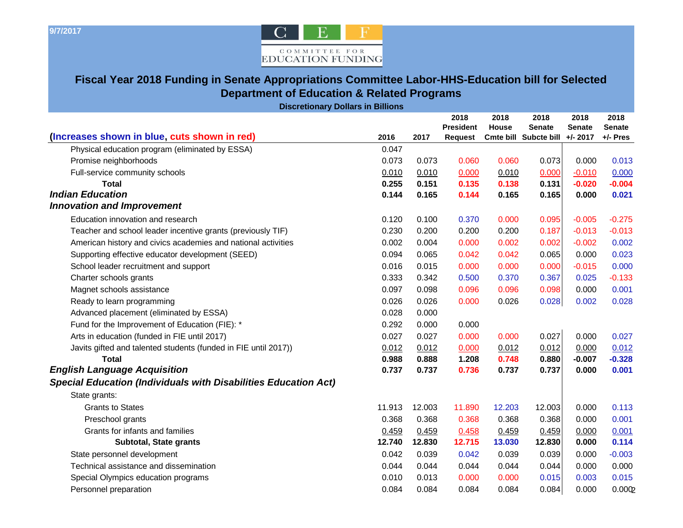

## **Fiscal Year 2018 Funding in Senate Appropriations Committee Labor-HHS-Education bill for Selected Department of Education & Related Programs**

| <b>Discretionary Dollars in Billions</b>                               |                |                |                  |                |                                |                      |                           |
|------------------------------------------------------------------------|----------------|----------------|------------------|----------------|--------------------------------|----------------------|---------------------------|
|                                                                        |                |                | 2018             | 2018           | 2018                           | 2018                 | 2018                      |
| (Increases shown in blue, cuts shown in red)                           | 2016           |                | <b>President</b> | <b>House</b>   | <b>Senate</b>                  | <b>Senate</b>        | <b>Senate</b><br>+/- Pres |
| Physical education program (eliminated by ESSA)                        | 0.047          | 2017           | Request          |                | Cmte bill Subcte bill +/- 2017 |                      |                           |
|                                                                        |                |                |                  |                |                                |                      |                           |
| Promise neighborhoods                                                  | 0.073          | 0.073          | 0.060            | 0.060          | 0.073                          | 0.000                | 0.013                     |
| Full-service community schools<br><b>Total</b>                         | 0.010<br>0.255 | 0.010<br>0.151 | 0.000<br>0.135   | 0.010<br>0.138 | 0.000<br>0.131                 | $-0.010$<br>$-0.020$ | 0.000<br>$-0.004$         |
| <b>Indian Education</b>                                                | 0.144          | 0.165          | 0.144            | 0.165          | 0.165                          | 0.000                | 0.021                     |
| <b>Innovation and Improvement</b>                                      |                |                |                  |                |                                |                      |                           |
| Education innovation and research                                      | 0.120          | 0.100          | 0.370            | 0.000          | 0.095                          | $-0.005$             | $-0.275$                  |
| Teacher and school leader incentive grants (previously TIF)            | 0.230          | 0.200          | 0.200            | 0.200          | 0.187                          | $-0.013$             | $-0.013$                  |
| American history and civics academies and national activities          | 0.002          | 0.004          | 0.000            | 0.002          | 0.002                          | $-0.002$             | 0.002                     |
| Supporting effective educator development (SEED)                       | 0.094          | 0.065          | 0.042            | 0.042          | 0.065                          | 0.000                | 0.023                     |
| School leader recruitment and support                                  | 0.016          | 0.015          | 0.000            | 0.000          | 0.000                          | $-0.015$             | 0.000                     |
| Charter schools grants                                                 | 0.333          | 0.342          | 0.500            | 0.370          | 0.367                          | 0.025                | $-0.133$                  |
| Magnet schools assistance                                              | 0.097          | 0.098          | 0.096            | 0.096          | 0.098                          | 0.000                | 0.001                     |
| Ready to learn programming                                             | 0.026          | 0.026          | 0.000            | 0.026          | 0.028                          | 0.002                | 0.028                     |
| Advanced placement (eliminated by ESSA)                                | 0.028          | 0.000          |                  |                |                                |                      |                           |
| Fund for the Improvement of Education (FIE): *                         | 0.292          | 0.000          | 0.000            |                |                                |                      |                           |
| Arts in education (funded in FIE until 2017)                           | 0.027          | 0.027          | 0.000            | 0.000          | 0.027                          | 0.000                | 0.027                     |
| Javits gifted and talented students (funded in FIE until 2017))        | 0.012          | 0.012          | 0.000            | 0.012          | 0.012                          | 0.000                | 0.012                     |
| <b>Total</b>                                                           | 0.988          | 0.888          | 1.208            | 0.748          | 0.880                          | $-0.007$             | $-0.328$                  |
| <b>English Language Acquisition</b>                                    | 0.737          | 0.737          | 0.736            | 0.737          | 0.737                          | 0.000                | 0.001                     |
| <b>Special Education (Individuals with Disabilities Education Act)</b> |                |                |                  |                |                                |                      |                           |
| State grants:                                                          |                |                |                  |                |                                |                      |                           |
| <b>Grants to States</b>                                                | 11.913         | 12.003         | 11.890           | 12.203         | 12.003                         | 0.000                | 0.113                     |
| Preschool grants                                                       | 0.368          | 0.368          | 0.368            | 0.368          | 0.368                          | 0.000                | 0.001                     |
| Grants for infants and families                                        | 0.459          | 0.459          | 0.458            | 0.459          | 0.459                          | 0.000                | 0.001                     |
| Subtotal, State grants                                                 | 12.740         | 12.830         | 12.715           | 13.030         | 12.830                         | 0.000                | 0.114                     |
| State personnel development                                            | 0.042          | 0.039          | 0.042            | 0.039          | 0.039                          | 0.000                | $-0.003$                  |
| Technical assistance and dissemination                                 | 0.044          | 0.044          | 0.044            | 0.044          | 0.044                          | 0.000                | 0.000                     |
| Special Olympics education programs                                    | 0.010          | 0.013          | 0.000            | 0.000          | 0.015                          | 0.003                | 0.015                     |
| Personnel preparation                                                  | 0.084          | 0.084          | 0.084            | 0.084          | 0.084                          | 0.000                | 0.0002                    |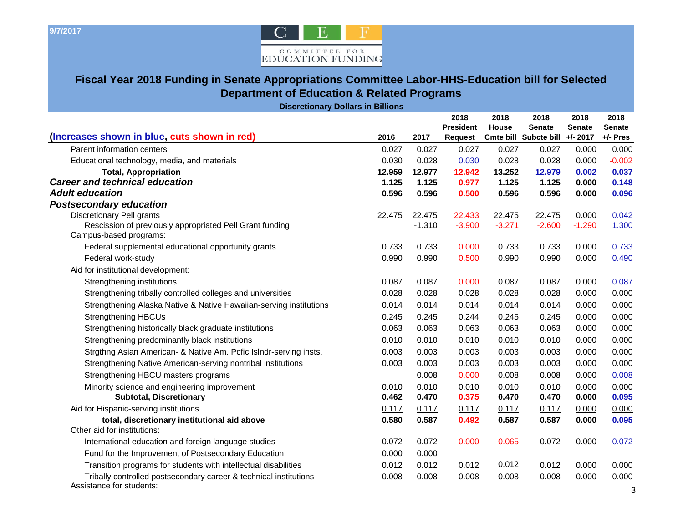

## **Fiscal Year 2018 Funding in Senate Appropriations Committee Labor-HHS-Education bill for Selected Department of Education & Related Programs**

**Discretionary Dollars in Billions**

| 7301 CHONGH y DONGH O 111 DHINONG                                                             |        |          |                          |                      |                       |                       |                       |
|-----------------------------------------------------------------------------------------------|--------|----------|--------------------------|----------------------|-----------------------|-----------------------|-----------------------|
|                                                                                               |        |          | 2018<br><b>President</b> | 2018<br><b>House</b> | 2018<br><b>Senate</b> | 2018<br><b>Senate</b> | 2018<br><b>Senate</b> |
| (Increases shown in blue, cuts shown in red)                                                  | 2016   | 2017     | Request                  |                      | Cmte bill Subcte bill | $+/- 2017$            | +/- Pres              |
| Parent information centers                                                                    | 0.027  | 0.027    | 0.027                    | 0.027                | 0.027                 | 0.000                 | 0.000                 |
| Educational technology, media, and materials                                                  | 0.030  | 0.028    | 0.030                    | 0.028                | 0.028                 | 0.000                 | $-0.002$              |
| <b>Total, Appropriation</b>                                                                   | 12.959 | 12.977   | 12.942                   | 13.252               | 12.979                | 0.002                 | 0.037                 |
| <b>Career and technical education</b>                                                         | 1.125  | 1.125    | 0.977                    | 1.125                | 1.125                 | 0.000                 | 0.148                 |
| <b>Adult education</b>                                                                        | 0.596  | 0.596    | 0.500                    | 0.596                | 0.596                 | 0.000                 | 0.096                 |
| <b>Postsecondary education</b>                                                                |        |          |                          |                      |                       |                       |                       |
| <b>Discretionary Pell grants</b>                                                              | 22.475 | 22.475   | 22.433                   | 22.475               | 22.475                | 0.000                 | 0.042                 |
| Rescission of previously appropriated Pell Grant funding<br>Campus-based programs:            |        | $-1.310$ | $-3.900$                 | $-3.271$             | $-2.600$              | $-1.290$              | 1.300                 |
| Federal supplemental educational opportunity grants                                           | 0.733  | 0.733    | 0.000                    | 0.733                | 0.733                 | 0.000                 | 0.733                 |
| Federal work-study                                                                            | 0.990  | 0.990    | 0.500                    | 0.990                | 0.990                 | 0.000                 | 0.490                 |
| Aid for institutional development:                                                            |        |          |                          |                      |                       |                       |                       |
| Strengthening institutions                                                                    | 0.087  | 0.087    | 0.000                    | 0.087                | 0.087                 | 0.000                 | 0.087                 |
| Strengthening tribally controlled colleges and universities                                   | 0.028  | 0.028    | 0.028                    | 0.028                | 0.028                 | 0.000                 | 0.000                 |
| Strengthening Alaska Native & Native Hawaiian-serving institutions                            | 0.014  | 0.014    | 0.014                    | 0.014                | 0.014                 | 0.000                 | 0.000                 |
| <b>Strengthening HBCUs</b>                                                                    | 0.245  | 0.245    | 0.244                    | 0.245                | 0.245                 | 0.000                 | 0.000                 |
| Strengthening historically black graduate institutions                                        | 0.063  | 0.063    | 0.063                    | 0.063                | 0.063                 | 0.000                 | 0.000                 |
| Strengthening predominantly black institutions                                                | 0.010  | 0.010    | 0.010                    | 0.010                | 0.010                 | 0.000                 | 0.000                 |
| Strgthng Asian American- & Native Am. Pcfic Islndr-serving insts.                             | 0.003  | 0.003    | 0.003                    | 0.003                | 0.003                 | 0.000                 | 0.000                 |
| Strengthening Native American-serving nontribal institutions                                  | 0.003  | 0.003    | 0.003                    | 0.003                | 0.003                 | 0.000                 | 0.000                 |
| Strengthening HBCU masters programs                                                           |        | 0.008    | 0.000                    | 0.008                | 0.008                 | 0.000                 | 0.008                 |
| Minority science and engineering improvement                                                  | 0.010  | 0.010    | 0.010                    | 0.010                | 0.010                 | 0.000                 | 0.000                 |
| <b>Subtotal, Discretionary</b>                                                                | 0.462  | 0.470    | 0.375                    | 0.470                | 0.470                 | 0.000                 | 0.095                 |
| Aid for Hispanic-serving institutions                                                         | 0.117  | 0.117    | 0.117                    | 0.117                | 0.117                 | 0.000                 | 0.000                 |
| total, discretionary institutional aid above<br>Other aid for institutions:                   | 0.580  | 0.587    | 0.492                    | 0.587                | 0.587                 | 0.000                 | 0.095                 |
| International education and foreign language studies                                          | 0.072  | 0.072    | 0.000                    | 0.065                | 0.072                 | 0.000                 | 0.072                 |
| Fund for the Improvement of Postsecondary Education                                           | 0.000  | 0.000    |                          |                      |                       |                       |                       |
| Transition programs for students with intellectual disabilities                               | 0.012  | 0.012    | 0.012                    | 0.012                | 0.012                 | 0.000                 | 0.000                 |
| Tribally controlled postsecondary career & technical institutions<br>Assistance for students: | 0.008  | 0.008    | 0.008                    | 0.008                | 0.008                 | 0.000                 | 0.000<br>3            |
|                                                                                               |        |          |                          |                      |                       |                       |                       |